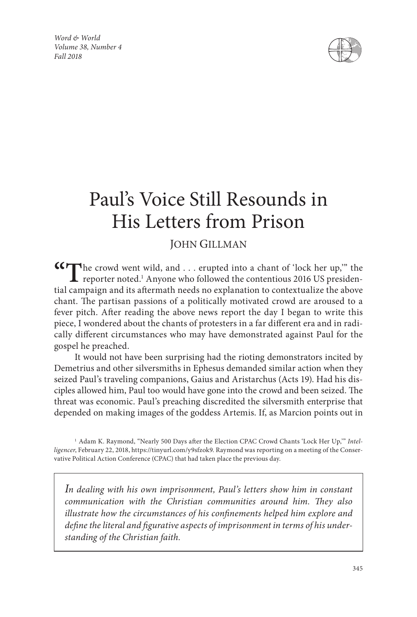*Word & World Volume 38, Number 4 Fall 2018*



# Paul's Voice Still Resounds in His Letters from Prison

## JOHN GILLMAN

**"T**he crowd went wild, and . . . erupted into a chant of 'lock her up,'" the reporter noted.<sup>1</sup> Anyone who followed the contentious 2016 US presidential campaign and its aftermath needs no explanation to contextualize the above chant. The partisan passions of a politically motivated crowd are aroused to a fever pitch. After reading the above news report the day I began to write this piece, I wondered about the chants of protesters in a far different era and in radically different circumstances who may have demonstrated against Paul for the gospel he preached.

It would not have been surprising had the rioting demonstrators incited by Demetrius and other silversmiths in Ephesus demanded similar action when they seized Paul's traveling companions, Gaius and Aristarchus (Acts 19). Had his disciples allowed him, Paul too would have gone into the crowd and been seized. The threat was economic. Paul's preaching discredited the silversmith enterprise that depended on making images of the goddess Artemis. If, as Marcion points out in

*In dealing with his own imprisonment, Paul's letters show him in constant communication with the Christian communities around him. They also illustrate how the circumstances of his confinements helped him explore and define the literal and figurative aspects of imprisonment in terms of his understanding of the Christian faith.*

<sup>1</sup> Adam K. Raymond, "Nearly 500 Days after the Election CPAC Crowd Chants 'Lock Her Up,'" *Intelligencer*, February 22, 2018, https://tinyurl.com/y9sfzok9. Raymond was reporting on a meeting of the Conservative Political Action Conference (CPAC) that had taken place the previous day.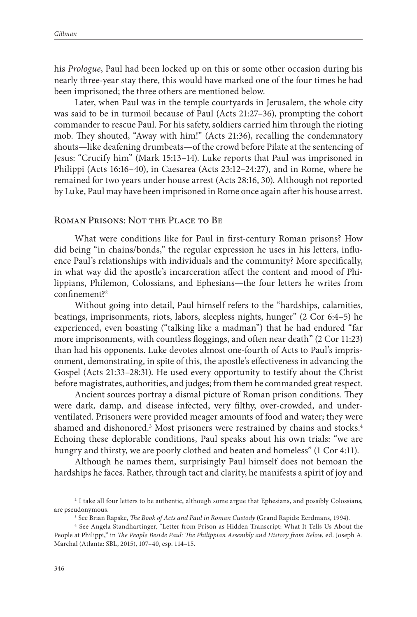his *Prologue*, Paul had been locked up on this or some other occasion during his nearly three-year stay there, this would have marked one of the four times he had been imprisoned; the three others are mentioned below.

Later, when Paul was in the temple courtyards in Jerusalem, the whole city was said to be in turmoil because of Paul (Acts 21:27–36), prompting the cohort commander to rescue Paul. For his safety, soldiers carried him through the rioting mob. They shouted, "Away with him!" (Acts 21:36), recalling the condemnatory shouts—like deafening drumbeats—of the crowd before Pilate at the sentencing of Jesus: "Crucify him" (Mark 15:13–14). Luke reports that Paul was imprisoned in Philippi (Acts 16:16–40), in Caesarea (Acts 23:12–24:27), and in Rome, where he remained for two years under house arrest (Acts 28:16, 30). Although not reported by Luke, Paul may have been imprisoned in Rome once again after his house arrest.

#### Roman Prisons: Not the Place to Be

What were conditions like for Paul in first-century Roman prisons? How did being "in chains/bonds," the regular expression he uses in his letters, influence Paul's relationships with individuals and the community? More specifically, in what way did the apostle's incarceration affect the content and mood of Philippians, Philemon, Colossians, and Ephesians—the four letters he writes from confinement?2

Without going into detail, Paul himself refers to the "hardships, calamities, beatings, imprisonments, riots, labors, sleepless nights, hunger" (2 Cor 6:4–5) he experienced, even boasting ("talking like a madman") that he had endured "far more imprisonments, with countless floggings, and often near death" (2 Cor 11:23) than had his opponents. Luke devotes almost one-fourth of Acts to Paul's imprisonment, demonstrating, in spite of this, the apostle's effectiveness in advancing the Gospel (Acts 21:33–28:31). He used every opportunity to testify about the Christ before magistrates, authorities, and judges; from them he commanded great respect.

Ancient sources portray a dismal picture of Roman prison conditions. They were dark, damp, and disease infected, very filthy, over-crowded, and underventilated. Prisoners were provided meager amounts of food and water; they were shamed and dishonored.<sup>3</sup> Most prisoners were restrained by chains and stocks.<sup>4</sup> Echoing these deplorable conditions, Paul speaks about his own trials: "we are hungry and thirsty, we are poorly clothed and beaten and homeless" (1 Cor 4:11).

Although he names them, surprisingly Paul himself does not bemoan the hardships he faces. Rather, through tact and clarity, he manifests a spirit of joy and

<sup>2</sup> I take all four letters to be authentic, although some argue that Ephesians, and possibly Colossians, are pseudonymous.<br><sup>3</sup> See Brian Rapske, *The Book of Acts and Paul in Roman Custody* (Grand Rapids: Eerdmans, 1994).<br><sup>4</sup> See Angela Standhartinger, "Letter from Prison as Hidden Transcript: What It Tells Us About the

People at Philippi," in *The People Beside Paul: The Philippian Assembly and History from Below*, ed. Joseph A. Marchal (Atlanta: SBL, 2015), 107–40, esp. 114–15.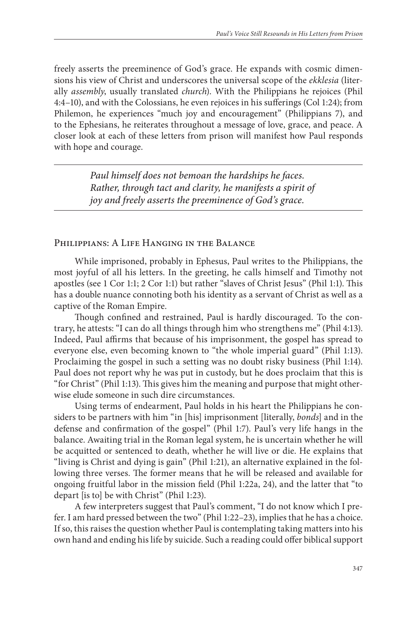freely asserts the preeminence of God's grace. He expands with cosmic dimensions his view of Christ and underscores the universal scope of the *ekklesia* (literally *assembly*, usually translated *church*). With the Philippians he rejoices (Phil 4:4–10), and with the Colossians, he even rejoices in his sufferings (Col 1:24); from Philemon, he experiences "much joy and encouragement" (Philippians 7), and to the Ephesians, he reiterates throughout a message of love, grace, and peace. A closer look at each of these letters from prison will manifest how Paul responds with hope and courage.

> *Paul himself does not bemoan the hardships he faces. Rather, through tact and clarity, he manifests a spirit of joy and freely asserts the preeminence of God's grace.*

#### Philippians: A Life Hanging in the Balance

While imprisoned, probably in Ephesus, Paul writes to the Philippians, the most joyful of all his letters. In the greeting, he calls himself and Timothy not apostles (see 1 Cor 1:1; 2 Cor 1:1) but rather "slaves of Christ Jesus" (Phil 1:1). This has a double nuance connoting both his identity as a servant of Christ as well as a captive of the Roman Empire.

Though confined and restrained, Paul is hardly discouraged. To the contrary, he attests: "I can do all things through him who strengthens me" (Phil 4:13). Indeed, Paul affirms that because of his imprisonment, the gospel has spread to everyone else, even becoming known to "the whole imperial guard" (Phil 1:13). Proclaiming the gospel in such a setting was no doubt risky business (Phil 1:14). Paul does not report why he was put in custody, but he does proclaim that this is "for Christ" (Phil 1:13). This gives him the meaning and purpose that might otherwise elude someone in such dire circumstances.

Using terms of endearment, Paul holds in his heart the Philippians he considers to be partners with him "in [his] imprisonment [literally, *bonds*] and in the defense and confirmation of the gospel" (Phil 1:7). Paul's very life hangs in the balance. Awaiting trial in the Roman legal system, he is uncertain whether he will be acquitted or sentenced to death, whether he will live or die. He explains that "living is Christ and dying is gain" (Phil 1:21), an alternative explained in the following three verses. The former means that he will be released and available for ongoing fruitful labor in the mission field (Phil 1:22a, 24), and the latter that "to depart [is to] be with Christ" (Phil 1:23).

A few interpreters suggest that Paul's comment, "I do not know which I prefer. I am hard pressed between the two" (Phil 1:22–23), implies that he has a choice. If so, this raises the question whether Paul is contemplating taking matters into his own hand and ending his life by suicide. Such a reading could offer biblical support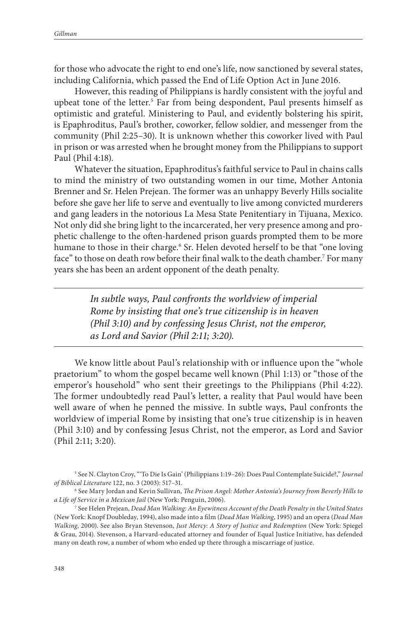for those who advocate the right to end one's life, now sanctioned by several states, including California, which passed the End of Life Option Act in June 2016.

However, this reading of Philippians is hardly consistent with the joyful and upbeat tone of the letter.<sup>5</sup> Far from being despondent, Paul presents himself as optimistic and grateful. Ministering to Paul, and evidently bolstering his spirit, is Epaphroditus, Paul's brother, coworker, fellow soldier, and messenger from the community (Phil 2:25–30). It is unknown whether this coworker lived with Paul in prison or was arrested when he brought money from the Philippians to support Paul (Phil 4:18).

Whatever the situation, Epaphroditus's faithful service to Paul in chains calls to mind the ministry of two outstanding women in our time, Mother Antonia Brenner and Sr. Helen Prejean. The former was an unhappy Beverly Hills socialite before she gave her life to serve and eventually to live among convicted murderers and gang leaders in the notorious La Mesa State Penitentiary in Tijuana, Mexico. Not only did she bring light to the incarcerated, her very presence among and prophetic challenge to the often-hardened prison guards prompted them to be more humane to those in their charge.<sup>6</sup> Sr. Helen devoted herself to be that "one loving face" to those on death row before their final walk to the death chamber.7 For many years she has been an ardent opponent of the death penalty.

> *In subtle ways, Paul confronts the worldview of imperial Rome by insisting that one's true citizenship is in heaven (Phil 3:10) and by confessing Jesus Christ, not the emperor, as Lord and Savior (Phil 2:11; 3:20).*

We know little about Paul's relationship with or influence upon the "whole praetorium" to whom the gospel became well known (Phil 1:13) or "those of the emperor's household" who sent their greetings to the Philippians (Phil 4:22). The former undoubtedly read Paul's letter, a reality that Paul would have been well aware of when he penned the missive. In subtle ways, Paul confronts the worldview of imperial Rome by insisting that one's true citizenship is in heaven (Phil 3:10) and by confessing Jesus Christ, not the emperor, as Lord and Savior (Phil 2:11; 3:20).

<sup>5</sup> See N. Clayton Croy, "'To Die Is Gain' (Philippians 1:19–26): Does Paul Contemplate Suicide?," *Journal of Biblical Literature* 122, no. 3 (2003): 517–31. 6 See Mary Jordan and Kevin Sullivan, *The Prison Angel: Mother Antonia's Journey from Beverly Hills to* 

*a Life of Service in a Mexican Jail* (New York: Penguin, 2006).

<sup>7</sup> See Helen Prejean, *Dead Man Walking: An Eyewitness Account of the Death Penalty in the United States* (New York: Knopf Doubleday, 1994), also made into a film (*Dead Man Walking*, 1995) and an opera (*Dead Man Walking*, 2000). See also Bryan Stevenson, *Just Mercy: A Story of Justice and Redemption* (New York: Spiegel & Grau, 2014). Stevenson, a Harvard-educated attorney and founder of Equal Justice Initiative, has defended many on death row, a number of whom who ended up there through a miscarriage of justice.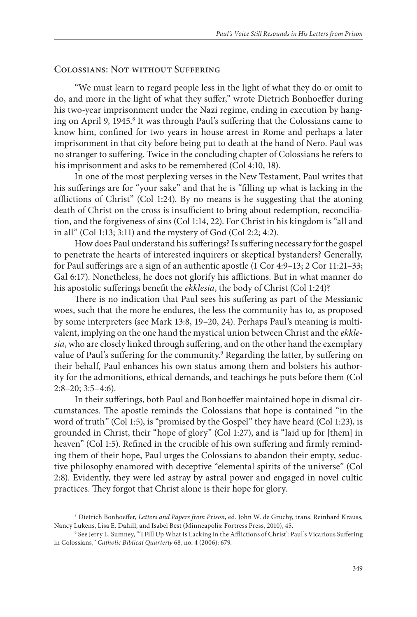#### Colossians: Not without Suffering

"We must learn to regard people less in the light of what they do or omit to do, and more in the light of what they suffer," wrote Dietrich Bonhoeffer during his two-year imprisonment under the Nazi regime, ending in execution by hanging on April 9, 1945.<sup>8</sup> It was through Paul's suffering that the Colossians came to know him, confined for two years in house arrest in Rome and perhaps a later imprisonment in that city before being put to death at the hand of Nero. Paul was no stranger to suffering. Twice in the concluding chapter of Colossians he refers to his imprisonment and asks to be remembered (Col 4:10, 18).

In one of the most perplexing verses in the New Testament, Paul writes that his sufferings are for "your sake" and that he is "filling up what is lacking in the afflictions of Christ" (Col 1:24). By no means is he suggesting that the atoning death of Christ on the cross is insufficient to bring about redemption, reconciliation, and the forgiveness of sins (Col 1:14, 22). For Christ in his kingdom is "all and in all" (Col 1:13; 3:11) and the mystery of God (Col 2:2; 4:2).

How does Paul understand his sufferings? Is suffering necessary for the gospel to penetrate the hearts of interested inquirers or skeptical bystanders? Generally, for Paul sufferings are a sign of an authentic apostle (1 Cor 4:9–13; 2 Cor 11:21–33; Gal 6:17). Nonetheless, he does not glorify his afflictions. But in what manner do his apostolic sufferings benefit the *ekklesia*, the body of Christ (Col 1:24)?

There is no indication that Paul sees his suffering as part of the Messianic woes, such that the more he endures, the less the community has to, as proposed by some interpreters (see Mark 13:8, 19–20, 24). Perhaps Paul's meaning is multivalent, implying on the one hand the mystical union between Christ and the *ekklesia*, who are closely linked through suffering, and on the other hand the exemplary value of Paul's suffering for the community.<sup>9</sup> Regarding the latter, by suffering on their behalf, Paul enhances his own status among them and bolsters his authority for the admonitions, ethical demands, and teachings he puts before them (Col 2:8–20; 3:5–4:6).

In their sufferings, both Paul and Bonhoeffer maintained hope in dismal circumstances. The apostle reminds the Colossians that hope is contained "in the word of truth" (Col 1:5), is "promised by the Gospel" they have heard (Col 1:23), is grounded in Christ, their "hope of glory" (Col 1:27), and is "laid up for [them] in heaven" (Col 1:5). Refined in the crucible of his own suffering and firmly reminding them of their hope, Paul urges the Colossians to abandon their empty, seductive philosophy enamored with deceptive "elemental spirits of the universe" (Col 2:8). Evidently, they were led astray by astral power and engaged in novel cultic practices. They forgot that Christ alone is their hope for glory.

<sup>8</sup> Dietrich Bonhoeffer, *Letters and Papers from Prison*, ed. John W. de Gruchy, trans. Reinhard Krauss,

<sup>&</sup>lt;sup>9</sup> See Jerry L. Sumney, "'I Fill Up What Is Lacking in the Afflictions of Christ': Paul's Vicarious Suffering in Colossians," *Catholic Biblical Quarterly* 68, no. 4 (2006): 679.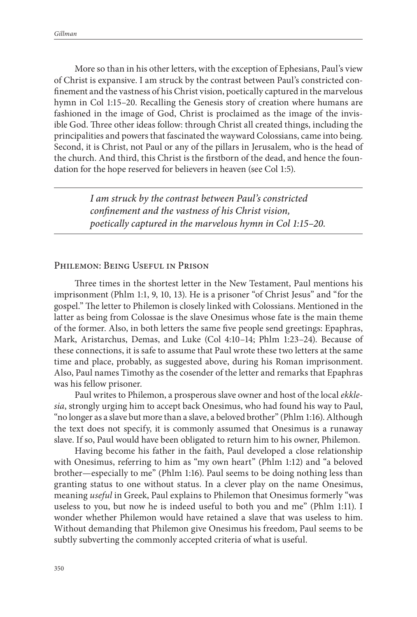More so than in his other letters, with the exception of Ephesians, Paul's view of Christ is expansive. I am struck by the contrast between Paul's constricted confinement and the vastness of his Christ vision, poetically captured in the marvelous hymn in Col 1:15–20. Recalling the Genesis story of creation where humans are fashioned in the image of God, Christ is proclaimed as the image of the invisible God. Three other ideas follow: through Christ all created things, including the principalities and powers that fascinated the wayward Colossians, came into being. Second, it is Christ, not Paul or any of the pillars in Jerusalem, who is the head of the church. And third, this Christ is the firstborn of the dead, and hence the foundation for the hope reserved for believers in heaven (see Col 1:5).

> *I am struck by the contrast between Paul's constricted confinement and the vastness of his Christ vision, poetically captured in the marvelous hymn in Col 1:15–20.*

#### Philemon: Being Useful in Prison

Three times in the shortest letter in the New Testament, Paul mentions his imprisonment (Phlm 1:1, 9, 10, 13). He is a prisoner "of Christ Jesus" and "for the gospel." The letter to Philemon is closely linked with Colossians. Mentioned in the latter as being from Colossae is the slave Onesimus whose fate is the main theme of the former. Also, in both letters the same five people send greetings: Epaphras, Mark, Aristarchus, Demas, and Luke (Col 4:10–14; Phlm 1:23–24). Because of these connections, it is safe to assume that Paul wrote these two letters at the same time and place, probably, as suggested above, during his Roman imprisonment. Also, Paul names Timothy as the cosender of the letter and remarks that Epaphras was his fellow prisoner.

Paul writes to Philemon, a prosperous slave owner and host of the local *ekklesia*, strongly urging him to accept back Onesimus, who had found his way to Paul, "no longer as a slave but more than a slave, a beloved brother" (Phlm 1:16). Although the text does not specify, it is commonly assumed that Onesimus is a runaway slave. If so, Paul would have been obligated to return him to his owner, Philemon.

Having become his father in the faith, Paul developed a close relationship with Onesimus, referring to him as "my own heart" (Phlm 1:12) and "a beloved brother—especially to me" (Phlm 1:16). Paul seems to be doing nothing less than granting status to one without status. In a clever play on the name Onesimus, meaning *useful* in Greek, Paul explains to Philemon that Onesimus formerly "was useless to you, but now he is indeed useful to both you and me" (Phlm 1:11). I wonder whether Philemon would have retained a slave that was useless to him. Without demanding that Philemon give Onesimus his freedom, Paul seems to be subtly subverting the commonly accepted criteria of what is useful.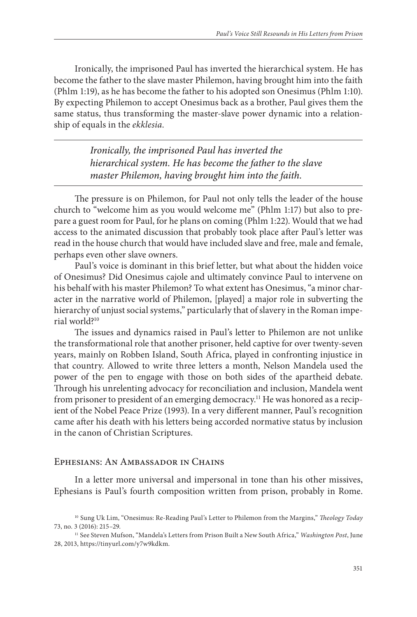Ironically, the imprisoned Paul has inverted the hierarchical system. He has become the father to the slave master Philemon, having brought him into the faith (Phlm 1:19), as he has become the father to his adopted son Onesimus (Phlm 1:10). By expecting Philemon to accept Onesimus back as a brother, Paul gives them the same status, thus transforming the master-slave power dynamic into a relationship of equals in the *ekklesia*.

> *Ironically, the imprisoned Paul has inverted the hierarchical system. He has become the father to the slave master Philemon, having brought him into the faith.*

The pressure is on Philemon, for Paul not only tells the leader of the house church to "welcome him as you would welcome me" (Phlm 1:17) but also to prepare a guest room for Paul, for he plans on coming (Phlm 1:22). Would that we had access to the animated discussion that probably took place after Paul's letter was read in the house church that would have included slave and free, male and female, perhaps even other slave owners.

Paul's voice is dominant in this brief letter, but what about the hidden voice of Onesimus? Did Onesimus cajole and ultimately convince Paul to intervene on his behalf with his master Philemon? To what extent has Onesimus, "a minor character in the narrative world of Philemon, [played] a major role in subverting the hierarchy of unjust social systems," particularly that of slavery in the Roman imperial world?10

The issues and dynamics raised in Paul's letter to Philemon are not unlike the transformational role that another prisoner, held captive for over twenty-seven years, mainly on Robben Island, South Africa, played in confronting injustice in that country. Allowed to write three letters a month, Nelson Mandela used the power of the pen to engage with those on both sides of the apartheid debate. Through his unrelenting advocacy for reconciliation and inclusion, Mandela went from prisoner to president of an emerging democracy.<sup>11</sup> He was honored as a recipient of the Nobel Peace Prize (1993). In a very different manner, Paul's recognition came after his death with his letters being accorded normative status by inclusion in the canon of Christian Scriptures.

#### Ephesians: An Ambassador in Chains

In a letter more universal and impersonal in tone than his other missives, Ephesians is Paul's fourth composition written from prison, probably in Rome.

<sup>10</sup> Sung Uk Lim, "Onesimus: Re-Reading Paul's Letter to Philemon from the Margins," *Theology Today* 73, no. 3 (2016): 215–29. 11 See Steven Mufson, "Mandela's Letters from Prison Built a New South Africa," *Washington Post*, June

<sup>28, 2013,</sup> https://tinyurl.com/y7w9kdkm.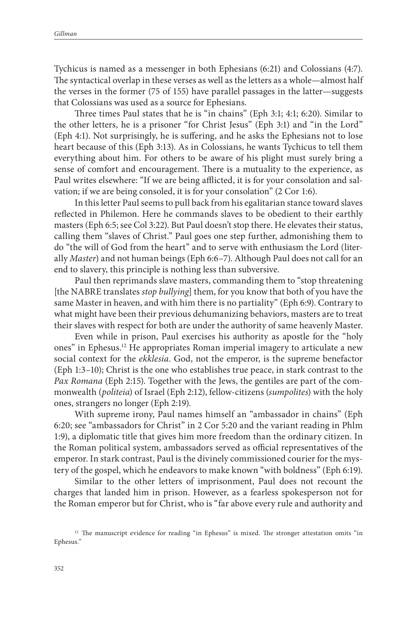Tychicus is named as a messenger in both Ephesians (6:21) and Colossians (4:7). The syntactical overlap in these verses as well as the letters as a whole—almost half the verses in the former (75 of 155) have parallel passages in the latter—suggests that Colossians was used as a source for Ephesians.

Three times Paul states that he is "in chains" (Eph 3:1; 4:1; 6:20). Similar to the other letters, he is a prisoner "for Christ Jesus" (Eph 3:1) and "in the Lord" (Eph 4:1). Not surprisingly, he is suffering, and he asks the Ephesians not to lose heart because of this (Eph 3:13). As in Colossians, he wants Tychicus to tell them everything about him. For others to be aware of his plight must surely bring a sense of comfort and encouragement. There is a mutuality to the experience, as Paul writes elsewhere: "If we are being afflicted, it is for your consolation and salvation; if we are being consoled, it is for your consolation" (2 Cor 1:6).

In this letter Paul seems to pull back from his egalitarian stance toward slaves reflected in Philemon. Here he commands slaves to be obedient to their earthly masters (Eph 6:5; see Col 3:22). But Paul doesn't stop there. He elevates their status, calling them "slaves of Christ." Paul goes one step further, admonishing them to do "the will of God from the heart" and to serve with enthusiasm the Lord (literally *Master*) and not human beings (Eph 6:6–7). Although Paul does not call for an end to slavery, this principle is nothing less than subversive.

Paul then reprimands slave masters, commanding them to "stop threatening [the NABRE translates *stop bullying*] them, for you know that both of you have the same Master in heaven, and with him there is no partiality" (Eph 6:9). Contrary to what might have been their previous dehumanizing behaviors, masters are to treat their slaves with respect for both are under the authority of same heavenly Master.

Even while in prison, Paul exercises his authority as apostle for the "holy ones" in Ephesus.12 He appropriates Roman imperial imagery to articulate a new social context for the *ekklesia*. God, not the emperor, is the supreme benefactor (Eph 1:3–10); Christ is the one who establishes true peace, in stark contrast to the *Pax Romana* (Eph 2:15). Together with the Jews, the gentiles are part of the commonwealth (*politeia*) of Israel (Eph 2:12), fellow-citizens (*sumpolites*) with the holy ones, strangers no longer (Eph 2:19).

With supreme irony, Paul names himself an "ambassador in chains" (Eph 6:20; see "ambassadors for Christ" in 2 Cor 5:20 and the variant reading in Phlm 1:9), a diplomatic title that gives him more freedom than the ordinary citizen. In the Roman political system, ambassadors served as official representatives of the emperor. In stark contrast, Paul is the divinely commissioned courier for the mystery of the gospel, which he endeavors to make known "with boldness" (Eph 6:19).

Similar to the other letters of imprisonment, Paul does not recount the charges that landed him in prison. However, as a fearless spokesperson not for the Roman emperor but for Christ, who is "far above every rule and authority and

<sup>&</sup>lt;sup>12</sup> The manuscript evidence for reading "in Ephesus" is mixed. The stronger attestation omits "in Ephesus."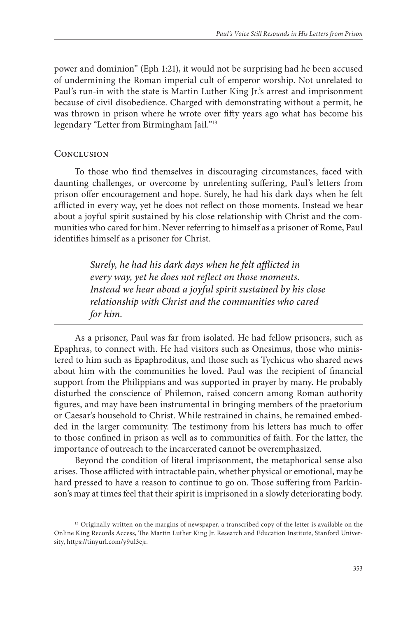power and dominion" (Eph 1:21), it would not be surprising had he been accused of undermining the Roman imperial cult of emperor worship. Not unrelated to Paul's run-in with the state is Martin Luther King Jr.'s arrest and imprisonment because of civil disobedience. Charged with demonstrating without a permit, he was thrown in prison where he wrote over fifty years ago what has become his legendary "Letter from Birmingham Jail."13

### **CONCLUSION**

To those who find themselves in discouraging circumstances, faced with daunting challenges, or overcome by unrelenting suffering, Paul's letters from prison offer encouragement and hope. Surely, he had his dark days when he felt afflicted in every way, yet he does not reflect on those moments. Instead we hear about a joyful spirit sustained by his close relationship with Christ and the communities who cared for him. Never referring to himself as a prisoner of Rome, Paul identifies himself as a prisoner for Christ.

> *Surely, he had his dark days when he felt afflicted in every way, yet he does not reflect on those moments. Instead we hear about a joyful spirit sustained by his close relationship with Christ and the communities who cared for him.*

As a prisoner, Paul was far from isolated. He had fellow prisoners, such as Epaphras, to connect with. He had visitors such as Onesimus, those who ministered to him such as Epaphroditus, and those such as Tychicus who shared news about him with the communities he loved. Paul was the recipient of financial support from the Philippians and was supported in prayer by many. He probably disturbed the conscience of Philemon, raised concern among Roman authority figures, and may have been instrumental in bringing members of the praetorium or Caesar's household to Christ. While restrained in chains, he remained embedded in the larger community. The testimony from his letters has much to offer to those confined in prison as well as to communities of faith. For the latter, the importance of outreach to the incarcerated cannot be overemphasized.

Beyond the condition of literal imprisonment, the metaphorical sense also arises. Those afflicted with intractable pain, whether physical or emotional, may be hard pressed to have a reason to continue to go on. Those suffering from Parkinson's may at times feel that their spirit is imprisoned in a slowly deteriorating body.

<sup>&</sup>lt;sup>13</sup> Originally written on the margins of newspaper, a transcribed copy of the letter is available on the Online King Records Access, The Martin Luther King Jr. Research and Education Institute, Stanford University, https://tinyurl.com/y9ul3ejr.